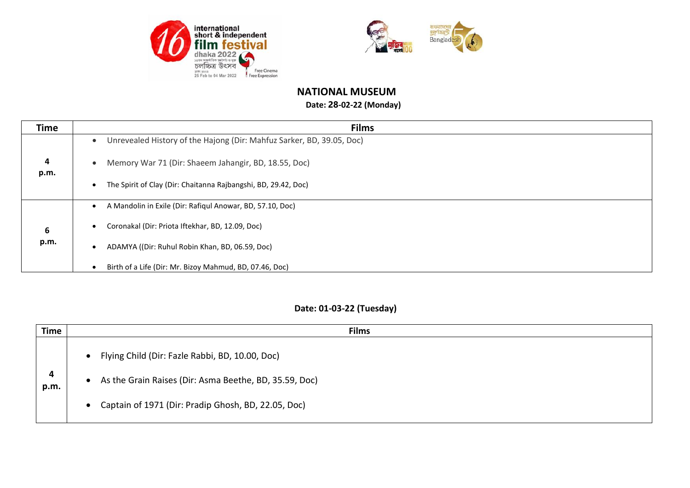



## **NATIONAL MUSEUM**

## **Date: 28-02-22 (Monday)**

| <b>Time</b> | <b>Films</b>                                                                       |
|-------------|------------------------------------------------------------------------------------|
|             | Unrevealed History of the Hajong (Dir: Mahfuz Sarker, BD, 39.05, Doc)<br>$\bullet$ |
| 4<br>p.m.   | Memory War 71 (Dir: Shaeem Jahangir, BD, 18.55, Doc)<br>$\bullet$                  |
|             | The Spirit of Clay (Dir: Chaitanna Rajbangshi, BD, 29.42, Doc)<br>$\bullet$        |
|             | A Mandolin in Exile (Dir: Rafiqul Anowar, BD, 57.10, Doc)<br>$\bullet$             |
| 6           | Coronakal (Dir: Priota Iftekhar, BD, 12.09, Doc)<br>$\bullet$                      |
| p.m.        | ADAMYA ((Dir: Ruhul Robin Khan, BD, 06.59, Doc)<br>$\bullet$                       |
|             | Birth of a Life (Dir: Mr. Bizoy Mahmud, BD, 07.46, Doc)<br>$\epsilon$              |

## **Date: 01-03-22 (Tuesday)**

| Time      | <b>Films</b>                                                                                                                                                                                            |
|-----------|---------------------------------------------------------------------------------------------------------------------------------------------------------------------------------------------------------|
| 4<br>p.m. | Flying Child (Dir: Fazle Rabbi, BD, 10.00, Doc)<br>$\bullet$<br>As the Grain Raises (Dir: Asma Beethe, BD, 35.59, Doc)<br>$\bullet$<br>Captain of 1971 (Dir: Pradip Ghosh, BD, 22.05, Doc)<br>$\bullet$ |